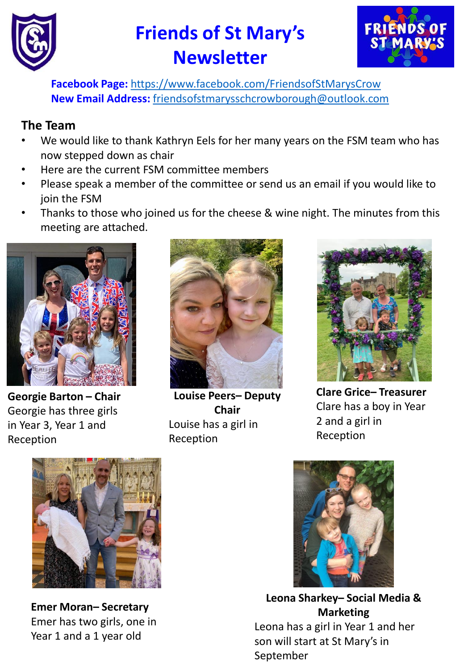



**Facebook Page:** <https://www.facebook.com/FriendsofStMarysCrow> **New Email Address:** [friendsofstmarysschcrowborough@outlook.com](mailto:friendsofstmarysschcrowborough@outlook.com)

### **The Team**

- We would like to thank Kathryn Eels for her many years on the FSM team who has now stepped down as chair
- Here are the current FSM committee members
- Please speak a member of the committee or send us an email if you would like to join the FSM
- Thanks to those who joined us for the cheese & wine night. The minutes from this meeting are attached.



**Georgie Barton – Chair** Georgie has three girls in Year 3, Year 1 and Reception



**Louise Peers– Deputy Chair** Louise has a girl in Reception



**Clare Grice– Treasurer** Clare has a boy in Year 2 and a girl in Reception



**Emer Moran– Secretary** Emer has two girls, one in Year 1 and a 1 year old



**Leona Sharkey– Social Media & Marketing** Leona has a girl in Year 1 and her son will start at St Mary's in September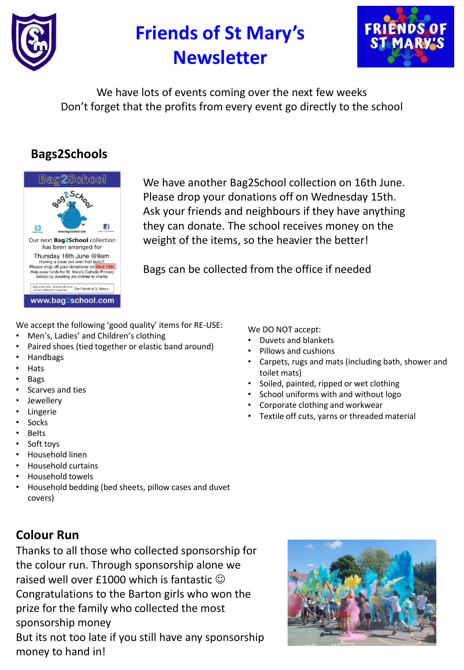



We have lots of events coming over the next few weeks Don't forget that the profits from every event go directly to the school

## **Bags2Schools**



We have another Bag2School collection on 16th June. Please drop your donations off on Wednesday 15th. Ask your friends and neighbours if they have anything they can donate. The school receives money on the weight of the items, so the heavier the better!

Bags can be collected from the office if needed

We accept the following 'good quality' items for RE-USE:

- Men's, Ladies' and Children's clothing
- Paired shoes (tied together or elastic band around)
- Handbags
- Hats
- Bags
- Scarves and ties
- Jewellery
- **Lingerie**
- **Socks**
- Belts
- Soft toys
- Household linen
- Household curtains
- Household towels
- Household bedding (bed sheets, pillow cases and duvet covers)

## **Colour Run**

Thanks to all those who collected sponsorship for the colour run. Through sponsorship alone we raised well over £1000 which is fantastic  $\odot$ Congratulations to the Barton girls who won the prize for the family who collected the most sponsorship money But its not too late if you still have any sponsorship money to hand in!

We DO NOT accept:

- Duvets and blankets
- Pillows and cushions
- Carpets, rugs and mats (including bath, shower and toilet mats)
- Soiled, painted, ripped or wet clothing
- School uniforms with and without logo
- Corporate clothing and workwear
- Textile off cuts, yarns or threaded material

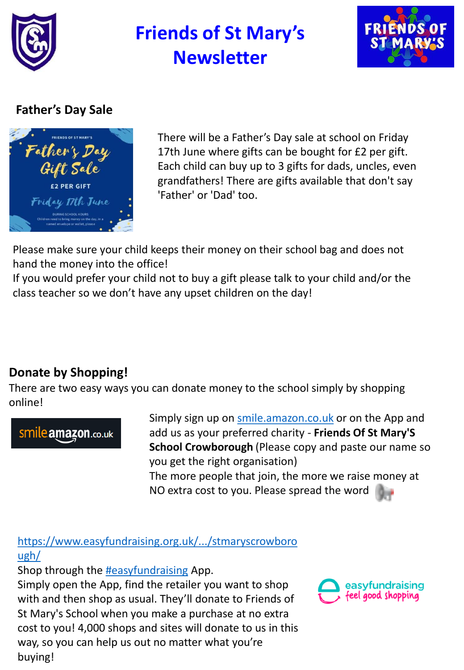



## **Father's Day Sale**



There will be a Father's Day sale at school on Friday 17th June where gifts can be bought for £2 per gift. Each child can buy up to 3 gifts for dads, uncles, even grandfathers! There are gifts available that don't say 'Father' or 'Dad' too.

Please make sure your child keeps their money on their school bag and does not hand the money into the office!

If you would prefer your child not to buy a gift please talk to your child and/or the class teacher so we don't have any upset children on the day!

# **Donate by Shopping!**

There are two easy ways you can donate money to the school simply by shopping online!

# Smile amazon.co.uk

Simply sign up on [smile.amazon.co.uk](https://l.facebook.com/l.php?u=https://smile.amazon.co.uk/?fbclid%3DIwAR1-au1wllZhDqUIvaI2uHKUEAZbqfcJ9cJq8KCYaRQTUBCjY9hl_MG5xiM&h=AT1g3nVmzNzOv3c0J00_spk6KlL5F5rYMY6cUVtE4fTKc-GE_l0XRLX8-yA83CAbdSayV-0qkSrlYzifHQee1F0sQFsUmpcZ47If4Qwut1SZmxm9utEchjqAWQ7vkl_qPg&__tn__=-UK-R&c[0]=AT2RKGBgi28IYHzAObjkaQrQsxir_MNLCjmqjc0TQkVOSnjZyQPmF0f46AOqfTrKC1ZVFHhibM0W6L2aqZJUKmHI30-nQYV_AqSMUPMQHJiubrPyILGXh5UfdnWWGrXwAX2hyVTh5ePOxGHFAZJ_B0ibtg) or on the App and add us as your preferred charity - **Friends Of St Mary'S School Crowborough** (Please copy and paste our name so you get the right organisation) The more people that join, the more we raise money at NO extra cost to you. Please spread the word

[https://www.easyfundraising.org.uk/.../stmaryscrowboro](https://l.facebook.com/l.php?u=https://www.easyfundraising.org.uk/causes/stmaryscrowborough/?fbclid%3DIwAR3i7ORDCsKnDUTu1uq9ZdmPtODudi7iSop_UasWwY9kHRaea4rX2nbAZ4M&h=AT1JbRDLVkLY6dFYrUbyzQkLWogzL1-q4r8o3_nuu7oPjVJBA7d1MP__GnZK3RWjAFS2MiwsvK3LzMOyCufwbJ5Q2BYRMIYu2gCpXXinJORrKVrhRXRmKG2OA_e1E51suA&__tn__=-UK-R&c[0]=AT1m-fUe319Ee8KC-i69A-YeKFC-UKPzWO-nRYW4AYDTQ3soiSA_CPtOn0hDcDSLG4zMokAO3H2iqLlL5u4-yYL2Qk3zLK5WRAuipurIqG06XK6uUVAerwZOfZPFtdFi0o6Zwix-kTmYa4gsaCpKkkd8_g) ugh/

Shop through the [#easyfundraising](https://www.facebook.com/hashtag/easyfundraising?__eep__=6&__cft__[0]=AZX0Nt21uy6o39fLnEfNn85efCuidT4sF_I1V8z9z8YOMzUeiTEow72zCEg6TAxFw4yUKe1hDkW4iCea03FFW5BEZxb-WarPkcdchQSMXPy5CqZeroO4iiarw_DIM-vcphk&__tn__=*NK-R) App.

Simply open the App, find the retailer you want to shop with and then shop as usual. They'll donate to Friends of St Mary's School when you make a purchase at no extra cost to you! 4,000 shops and sites will donate to us in this way, so you can help us out no matter what you're buying!